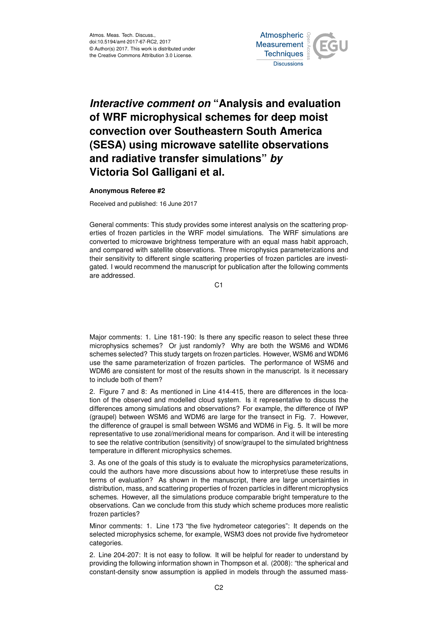

## *Interactive comment on* **"Analysis and evaluation of WRF microphysical schemes for deep moist convection over Southeastern South America (SESA) using microwave satellite observations and radiative transfer simulations"** *by* **Victoria Sol Galligani et al.**

## **Anonymous Referee #2**

Received and published: 16 June 2017

General comments: This study provides some interest analysis on the scattering properties of frozen particles in the WRF model simulations. The WRF simulations are converted to microwave brightness temperature with an equal mass habit approach, and compared with satellite observations. Three microphysics parameterizations and their sensitivity to different single scattering properties of frozen particles are investigated. I would recommend the manuscript for publication after the following comments are addressed.

C1

Major comments: 1. Line 181-190: Is there any specific reason to select these three microphysics schemes? Or just randomly? Why are both the WSM6 and WDM6 schemes selected? This study targets on frozen particles. However, WSM6 and WDM6 use the same parameterization of frozen particles. The performance of WSM6 and WDM6 are consistent for most of the results shown in the manuscript. Is it necessary to include both of them?

2. Figure 7 and 8: As mentioned in Line 414-415, there are differences in the location of the observed and modelled cloud system. Is it representative to discuss the differences among simulations and observations? For example, the difference of IWP (graupel) between WSM6 and WDM6 are large for the transect in Fig. 7. However, the difference of graupel is small between WSM6 and WDM6 in Fig. 5. It will be more representative to use zonal/meridional means for comparison. And it will be interesting to see the relative contribution (sensitivity) of snow/graupel to the simulated brightness temperature in different microphysics schemes.

3. As one of the goals of this study is to evaluate the microphysics parameterizations, could the authors have more discussions about how to interpret/use these results in terms of evaluation? As shown in the manuscript, there are large uncertainties in distribution, mass, and scattering properties of frozen particles in different microphysics schemes. However, all the simulations produce comparable bright temperature to the observations. Can we conclude from this study which scheme produces more realistic frozen particles?

Minor comments: 1. Line 173 "the five hydrometeor categories": It depends on the selected microphysics scheme, for example, WSM3 does not provide five hydrometeor categories.

2. Line 204-207: It is not easy to follow. It will be helpful for reader to understand by providing the following information shown in Thompson et al. (2008): "the spherical and constant-density snow assumption is applied in models through the assumed mass-